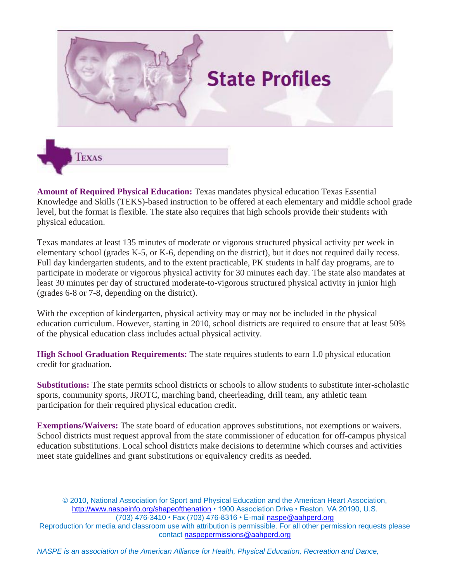



**Amount of Required Physical Education:** Texas mandates physical education Texas Essential Knowledge and Skills (TEKS)-based instruction to be offered at each elementary and middle school grade level, but the format is flexible. The state also requires that high schools provide their students with physical education.

Texas mandates at least 135 minutes of moderate or vigorous structured physical activity per week in elementary school (grades K-5, or K-6, depending on the district), but it does not required daily recess. Full day kindergarten students, and to the extent practicable, PK students in half day programs, are to participate in moderate or vigorous physical activity for 30 minutes each day. The state also mandates at least 30 minutes per day of structured moderate-to-vigorous structured physical activity in junior high (grades 6-8 or 7-8, depending on the district).

With the exception of kindergarten, physical activity may or may not be included in the physical education curriculum. However, starting in 2010, school districts are required to ensure that at least 50% of the physical education class includes actual physical activity.

**High School Graduation Requirements:** The state requires students to earn 1.0 physical education credit for graduation.

**Substitutions:** The state permits school districts or schools to allow students to substitute inter-scholastic sports, community sports, JROTC, marching band, cheerleading, drill team, any athletic team participation for their required physical education credit.

**Exemptions/Waivers:** The state board of education approves substitutions, not exemptions or waivers. School districts must request approval from the state commissioner of education for off-campus physical education substitutions. Local school districts make decisions to determine which courses and activities meet state guidelines and grant substitutions or equivalency credits as needed.

© 2010, National Association for Sport and Physical Education and the American Heart Association, http://www.naspeinfo.org/shapeofthenation • 1900 Association Drive • Reston, VA 20190, U.S. (703) 476-3410 • Fax (703) 476-8316 • E-mail naspe@aahperd.org Reproduction for media and classroom use with attribution is permissible. For all other permission requests please contact naspepermissions@aahperd.org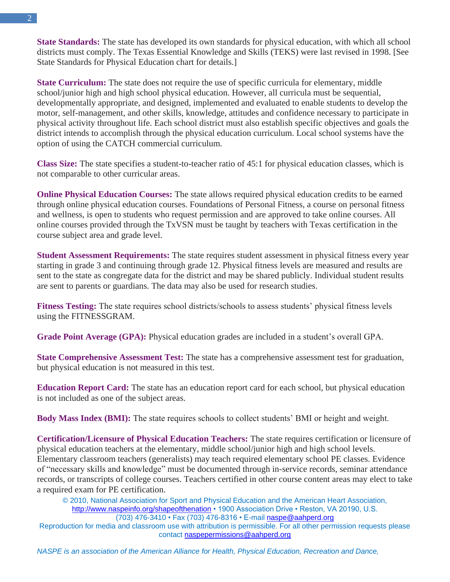**State Standards:** The state has developed its own standards for physical education, with which all school districts must comply. The Texas Essential Knowledge and Skills (TEKS) were last revised in 1998. [See State Standards for Physical Education chart for details.]

**State Curriculum:** The state does not require the use of specific curricula for elementary, middle school/junior high and high school physical education. However, all curricula must be sequential, developmentally appropriate, and designed, implemented and evaluated to enable students to develop the motor, self-management, and other skills, knowledge, attitudes and confidence necessary to participate in physical activity throughout life. Each school district must also establish specific objectives and goals the district intends to accomplish through the physical education curriculum. Local school systems have the option of using the CATCH commercial curriculum.

**Class Size:** The state specifies a student-to-teacher ratio of 45:1 for physical education classes, which is not comparable to other curricular areas.

**Online Physical Education Courses:** The state allows required physical education credits to be earned through online physical education courses. Foundations of Personal Fitness, a course on personal fitness and wellness, is open to students who request permission and are approved to take online courses. All online courses provided through the TxVSN must be taught by teachers with Texas certification in the course subject area and grade level.

**Student Assessment Requirements:** The state requires student assessment in physical fitness every year starting in grade 3 and continuing through grade 12. Physical fitness levels are measured and results are sent to the state as congregate data for the district and may be shared publicly. Individual student results are sent to parents or guardians. The data may also be used for research studies.

**Fitness Testing:** The state requires school districts/schools to assess students' physical fitness levels using the FITNESSGRAM.

**Grade Point Average (GPA):** Physical education grades are included in a student's overall GPA.

**State Comprehensive Assessment Test:** The state has a comprehensive assessment test for graduation, but physical education is not measured in this test.

**Education Report Card:** The state has an education report card for each school, but physical education is not included as one of the subject areas.

**Body Mass Index (BMI):** The state requires schools to collect students' BMI or height and weight.

**Certification/Licensure of Physical Education Teachers:** The state requires certification or licensure of physical education teachers at the elementary, middle school/junior high and high school levels. Elementary classroom teachers (generalists) may teach required elementary school PE classes. Evidence of "necessary skills and knowledge" must be documented through in-service records, seminar attendance records, or transcripts of college courses. Teachers certified in other course content areas may elect to take a required exam for PE certification.

© 2010, National Association for Sport and Physical Education and the American Heart Association, http://www.naspeinfo.org/shapeofthenation • 1900 Association Drive • Reston, VA 20190, U.S. (703) 476-3410 • Fax (703) 476-8316 • E-mail naspe@aahperd.org

Reproduction for media and classroom use with attribution is permissible. For all other permission requests please contact naspepermissions@aahperd.org